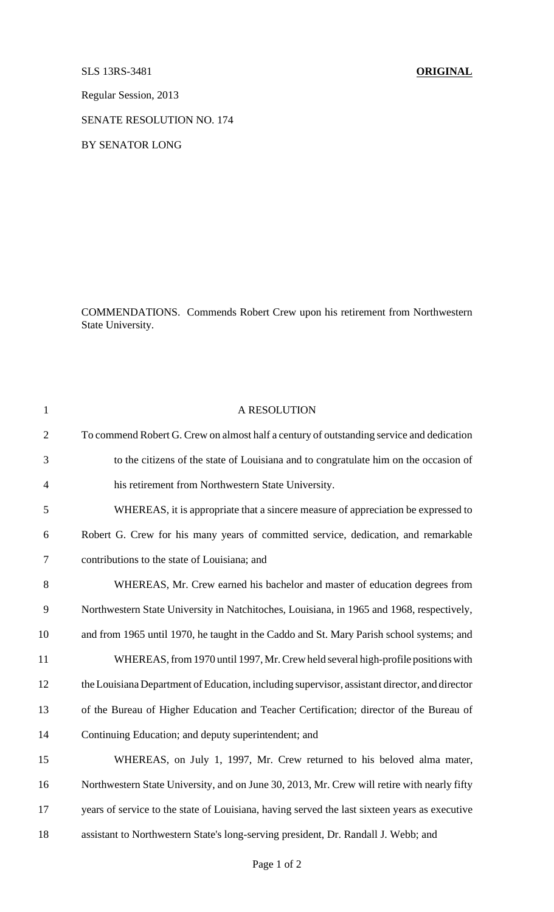SLS 13RS-3481 **ORIGINAL**

Regular Session, 2013

SENATE RESOLUTION NO. 174

BY SENATOR LONG

COMMENDATIONS. Commends Robert Crew upon his retirement from Northwestern State University.

| $\mathbf{1}$   | A RESOLUTION                                                                                  |
|----------------|-----------------------------------------------------------------------------------------------|
| $\overline{2}$ | To commend Robert G. Crew on almost half a century of outstanding service and dedication      |
| 3              | to the citizens of the state of Louisiana and to congratulate him on the occasion of          |
| $\overline{4}$ | his retirement from Northwestern State University.                                            |
| 5              | WHEREAS, it is appropriate that a sincere measure of appreciation be expressed to             |
| 6              | Robert G. Crew for his many years of committed service, dedication, and remarkable            |
| $\tau$         | contributions to the state of Louisiana; and                                                  |
| 8              | WHEREAS, Mr. Crew earned his bachelor and master of education degrees from                    |
| 9              | Northwestern State University in Natchitoches, Louisiana, in 1965 and 1968, respectively,     |
| 10             | and from 1965 until 1970, he taught in the Caddo and St. Mary Parish school systems; and      |
| 11             | WHEREAS, from 1970 until 1997, Mr. Crew held several high-profile positions with              |
| 12             | the Louisiana Department of Education, including supervisor, assistant director, and director |
| 13             | of the Bureau of Higher Education and Teacher Certification; director of the Bureau of        |
| 14             | Continuing Education; and deputy superintendent; and                                          |
| 15             | WHEREAS, on July 1, 1997, Mr. Crew returned to his beloved alma mater,                        |
| 16             | Northwestern State University, and on June 30, 2013, Mr. Crew will retire with nearly fifty   |
| 17             | years of service to the state of Louisiana, having served the last sixteen years as executive |
| 18             | assistant to Northwestern State's long-serving president, Dr. Randall J. Webb; and            |